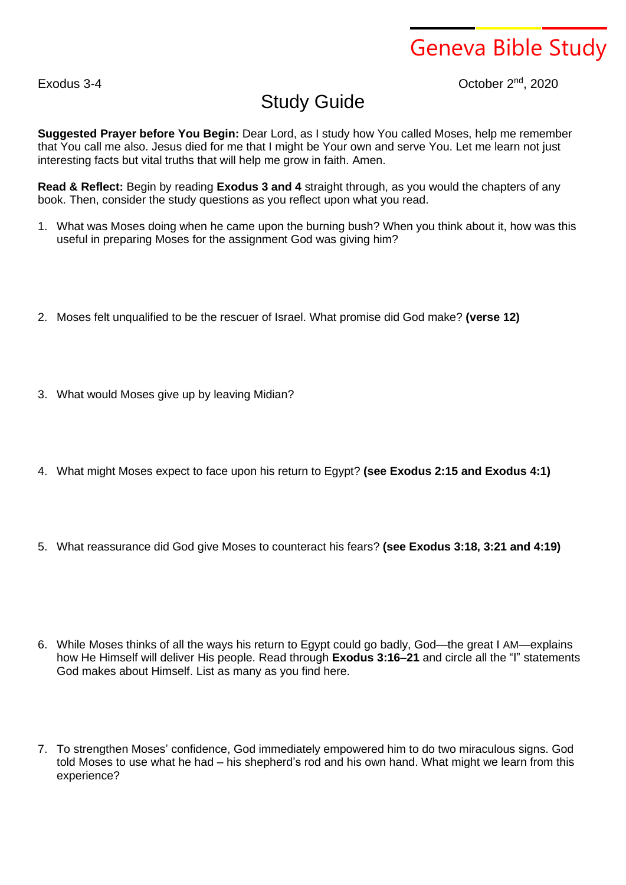## Geneva Bible Study

Exodus 3-4 **October 2<sup>nd</sup>, 2020** 

## Study Guide

**Suggested Prayer before You Begin:** Dear Lord, as I study how You called Moses, help me remember that You call me also. Jesus died for me that I might be Your own and serve You. Let me learn not just interesting facts but vital truths that will help me grow in faith. Amen.

**Read & Reflect:** Begin by reading **Exodus 3 and 4** straight through, as you would the chapters of any book. Then, consider the study questions as you reflect upon what you read.

- 1. What was Moses doing when he came upon the burning bush? When you think about it, how was this useful in preparing Moses for the assignment God was giving him?
- 2. Moses felt unqualified to be the rescuer of Israel. What promise did God make? **(verse 12)**
- 3. What would Moses give up by leaving Midian?
- 4. What might Moses expect to face upon his return to Egypt? **(see Exodus 2:15 and Exodus 4:1)**
- 5. What reassurance did God give Moses to counteract his fears? **(see Exodus 3:18, 3:21 and 4:19)**
- 6. While Moses thinks of all the ways his return to Egypt could go badly, God—the great I AM—explains how He Himself will deliver His people. Read through **Exodus 3:16–21** and circle all the "I" statements God makes about Himself. List as many as you find here.
- 7. To strengthen Moses' confidence, God immediately empowered him to do two miraculous signs. God told Moses to use what he had – his shepherd's rod and his own hand. What might we learn from this experience?